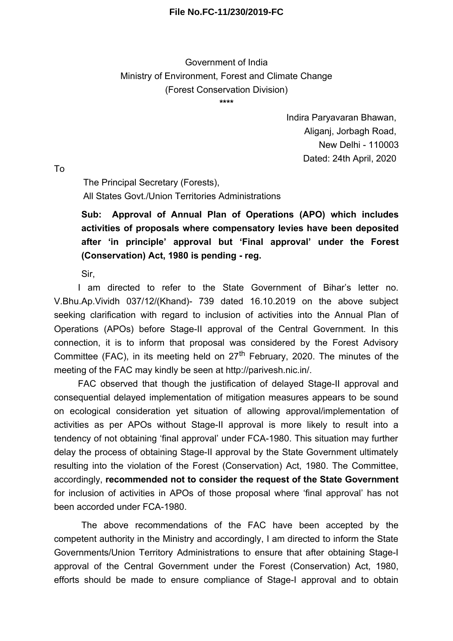## **File No.FC-11/230/2019-FC**

Government of India Ministry of Environment, Forest and Climate Change (Forest Conservation Division)

**\*\*\*\***

Indira Paryavaran Bhawan, Aliganj, Jorbagh Road, New Delhi - 110003 Dated: 24th April, 2020

To

The Principal Secretary (Forests), All States Govt./Union Territories Administrations

**Sub: Approval of Annual Plan of Operations (APO) which includes activities of proposals where compensatory levies have been deposited after 'in principle' approval but 'Final approval' under the Forest (Conservation) Act, 1980 is pending - reg.**

Sir,

I am directed to refer to the State Government of Bihar's letter no. V.Bhu.Ap.Vividh 037/12/(Khand)- 739 dated 16.10.2019 on the above subject seeking clarification with regard to inclusion of activities into the Annual Plan of Operations (APOs) before Stage-II approval of the Central Government. In this connection, it is to inform that proposal was considered by the Forest Advisory Committee (FAC), in its meeting held on  $27<sup>th</sup>$  February, 2020. The minutes of the meeting of the FAC may kindly be seen at http://parivesh.nic.in/.

FAC observed that though the justification of delayed Stage-II approval and consequential delayed implementation of mitigation measures appears to be sound on ecological consideration yet situation of allowing approval/implementation of activities as per APOs without Stage-II approval is more likely to result into a tendency of not obtaining 'final approval' under FCA-1980. This situation may further delay the process of obtaining Stage-II approval by the State Government ultimately resulting into the violation of the Forest (Conservation) Act, 1980. The Committee, accordingly, **recommended not to consider the request of the State Government** for inclusion of activities in APOs of those proposal where 'final approval' has not been accorded under FCA-1980.

The above recommendations of the FAC have been accepted by the competent authority in the Ministry and accordingly, I am directed to inform the State Governments/Union Territory Administrations to ensure that after obtaining Stage-I approval of the Central Government under the Forest (Conservation) Act, 1980, efforts should be made to ensure compliance of Stage-I approval and to obtain